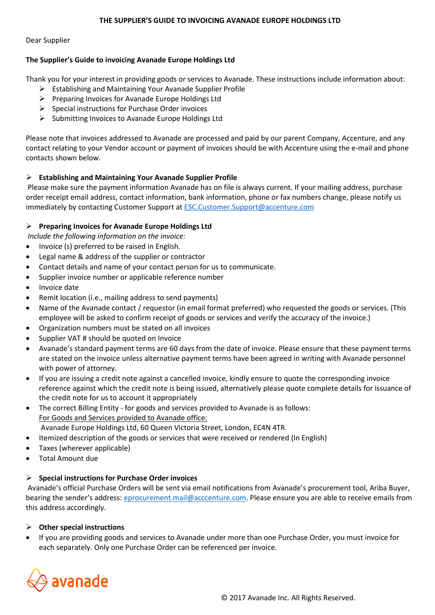#### **THE SUPPLIER'S GUIDE TO INVOICING AVANADE EUROPE HOLDINGS LTD**

#### Dear Supplier

### **The Supplier's Guide to invoicing Avanade Europe Holdings Ltd**

Thank you for your interest in providing goods or services to Avanade. These instructions include information about:

- $\triangleright$  Establishing and Maintaining Your Avanade Supplier Profile
- $\triangleright$  Preparing Invoices for Avanade Europe Holdings Ltd
- $\triangleright$  Special instructions for Purchase Order invoices
- $\triangleright$  Submitting Invoices to Avanade Europe Holdings Ltd

Please note that invoices addressed to Avanade are processed and paid by our parent Company, Accenture, and any contact relating to your Vendor account or payment of invoices should be with Accenture using the e-mail and phone contacts shown below.

### **Establishing and Maintaining Your Avanade Supplier Profile**

Please make sure the payment information Avanade has on file is always current. If your mailing address, purchase order receipt email address, contact information, bank information, phone or fax numbers change, please notify us immediately by contacting Customer Support at [ESC.Customer.Support@accenture.com](mailto:ESC.Customer.Support@accenture.com)

### **Preparing Invoices for Avanade Europe Holdings Ltd**

*Include the following information on the invoice:* 

- Invoice (s) preferred to be raised in English.
- Legal name & address of the supplier or contractor
- Contact details and name of your contact person for us to communicate.
- Supplier invoice number or applicable reference number
- Invoice date
- Remit location (i.e., mailing address to send payments)
- Name of the Avanade contact / requestor (in email format preferred) who requested the goods or services. (This employee will be asked to confirm receipt of goods or services and verify the accuracy of the invoice.)
- Organization numbers must be stated on all invoices
- Supplier VAT # should be quoted on Invoice
- Avanade's standard payment terms are 60 days from the date of invoice. Please ensure that these payment terms are stated on the invoice unless alternative payment terms have been agreed in writing with Avanade personnel with power of attorney.
- If you are issuing a credit note against a cancelled invoice, kindly ensure to quote the corresponding invoice reference against which the credit note is being issued, alternatively please quote complete details for issuance of the credit note for us to account it appropriately
- The correct Billing Entity for goods and services provided to Avanade is as follows: For Goods and Services provided to Avanade office: Avanade Europe Holdings Ltd, 60 Queen Victoria Street, London, EC4N 4TR
- Itemized description of the goods or services that were received or rendered (In English)
- Taxes (wherever applicable)
- Total Amount due

### **Special instructions for Purchase Order invoices**

Avanade's official Purchase Orders will be sent via email notifications from Avanade's procurement tool, Ariba Buyer, bearing the sender's address: [eprocurement.mail@acccenture.com.](mailto:eprocurement.mail@acccenture.com) Please ensure you are able to receive emails from this address accordingly.

**Other special instructions**

 If you are providing goods and services to Avanade under more than one Purchase Order, you must invoice for each separately. Only one Purchase Order can be referenced per invoice.